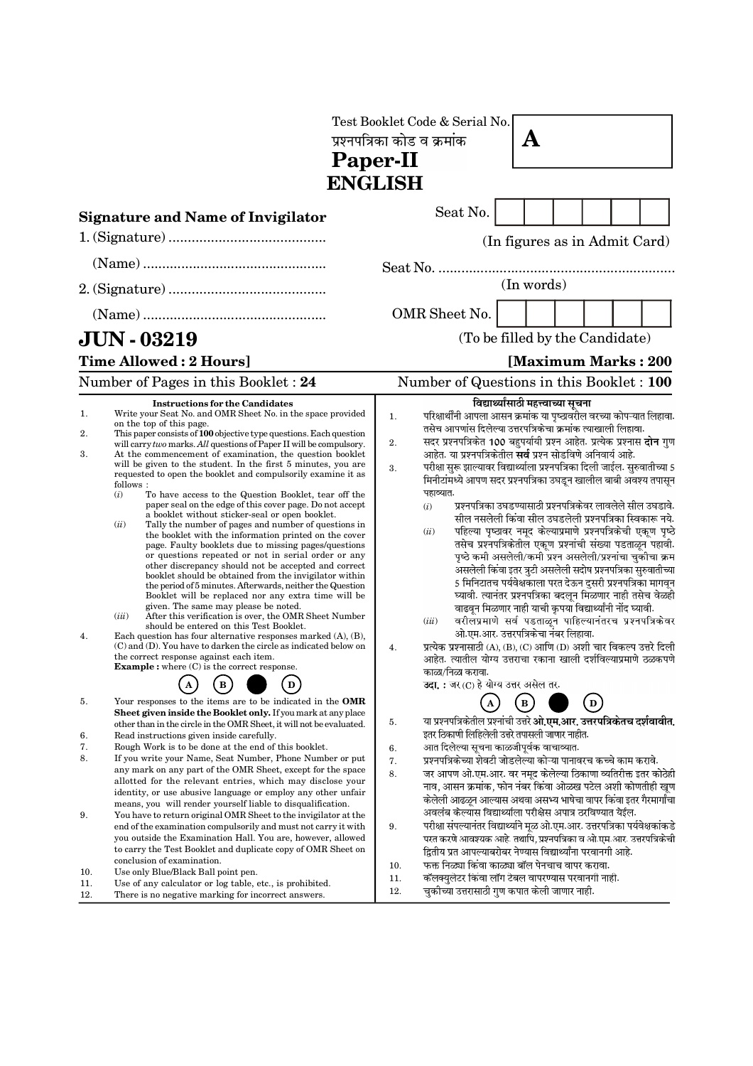| Paper-II                |                                                                                                                                                                                                                                                                                                                                                                                                                                                                                                                                                                                                                                                                                                                                                                                                                                                                                                                                                                                                                                                                                                                                                                                                                                                                                                                                                                                                                                                                                                                                                                                 |                             | Test Booklet Code & Serial No.<br>प्रश्नपत्रिका कोड व क्रमांक<br>A                                                                                                                                                                                                                                                                                                                                                                                                                                                                                                                                                                                                                                                                                                                                                                                                                                                                                                                                                                                                                                                                                                                                                                                                                                                                                                                                                                                                           |  |              |  |     |  |                               |
|-------------------------|---------------------------------------------------------------------------------------------------------------------------------------------------------------------------------------------------------------------------------------------------------------------------------------------------------------------------------------------------------------------------------------------------------------------------------------------------------------------------------------------------------------------------------------------------------------------------------------------------------------------------------------------------------------------------------------------------------------------------------------------------------------------------------------------------------------------------------------------------------------------------------------------------------------------------------------------------------------------------------------------------------------------------------------------------------------------------------------------------------------------------------------------------------------------------------------------------------------------------------------------------------------------------------------------------------------------------------------------------------------------------------------------------------------------------------------------------------------------------------------------------------------------------------------------------------------------------------|-----------------------------|------------------------------------------------------------------------------------------------------------------------------------------------------------------------------------------------------------------------------------------------------------------------------------------------------------------------------------------------------------------------------------------------------------------------------------------------------------------------------------------------------------------------------------------------------------------------------------------------------------------------------------------------------------------------------------------------------------------------------------------------------------------------------------------------------------------------------------------------------------------------------------------------------------------------------------------------------------------------------------------------------------------------------------------------------------------------------------------------------------------------------------------------------------------------------------------------------------------------------------------------------------------------------------------------------------------------------------------------------------------------------------------------------------------------------------------------------------------------------|--|--------------|--|-----|--|-------------------------------|
|                         | <b>ENGLISH</b>                                                                                                                                                                                                                                                                                                                                                                                                                                                                                                                                                                                                                                                                                                                                                                                                                                                                                                                                                                                                                                                                                                                                                                                                                                                                                                                                                                                                                                                                                                                                                                  |                             |                                                                                                                                                                                                                                                                                                                                                                                                                                                                                                                                                                                                                                                                                                                                                                                                                                                                                                                                                                                                                                                                                                                                                                                                                                                                                                                                                                                                                                                                              |  |              |  |     |  |                               |
|                         | <b>Signature and Name of Invigilator</b>                                                                                                                                                                                                                                                                                                                                                                                                                                                                                                                                                                                                                                                                                                                                                                                                                                                                                                                                                                                                                                                                                                                                                                                                                                                                                                                                                                                                                                                                                                                                        |                             | Seat No.                                                                                                                                                                                                                                                                                                                                                                                                                                                                                                                                                                                                                                                                                                                                                                                                                                                                                                                                                                                                                                                                                                                                                                                                                                                                                                                                                                                                                                                                     |  |              |  |     |  |                               |
|                         |                                                                                                                                                                                                                                                                                                                                                                                                                                                                                                                                                                                                                                                                                                                                                                                                                                                                                                                                                                                                                                                                                                                                                                                                                                                                                                                                                                                                                                                                                                                                                                                 |                             |                                                                                                                                                                                                                                                                                                                                                                                                                                                                                                                                                                                                                                                                                                                                                                                                                                                                                                                                                                                                                                                                                                                                                                                                                                                                                                                                                                                                                                                                              |  |              |  |     |  | (In figures as in Admit Card) |
|                         |                                                                                                                                                                                                                                                                                                                                                                                                                                                                                                                                                                                                                                                                                                                                                                                                                                                                                                                                                                                                                                                                                                                                                                                                                                                                                                                                                                                                                                                                                                                                                                                 |                             |                                                                                                                                                                                                                                                                                                                                                                                                                                                                                                                                                                                                                                                                                                                                                                                                                                                                                                                                                                                                                                                                                                                                                                                                                                                                                                                                                                                                                                                                              |  |              |  |     |  |                               |
|                         |                                                                                                                                                                                                                                                                                                                                                                                                                                                                                                                                                                                                                                                                                                                                                                                                                                                                                                                                                                                                                                                                                                                                                                                                                                                                                                                                                                                                                                                                                                                                                                                 | (In words)<br>OMR Sheet No. |                                                                                                                                                                                                                                                                                                                                                                                                                                                                                                                                                                                                                                                                                                                                                                                                                                                                                                                                                                                                                                                                                                                                                                                                                                                                                                                                                                                                                                                                              |  |              |  |     |  |                               |
|                         | <b>JUN - 03219</b>                                                                                                                                                                                                                                                                                                                                                                                                                                                                                                                                                                                                                                                                                                                                                                                                                                                                                                                                                                                                                                                                                                                                                                                                                                                                                                                                                                                                                                                                                                                                                              |                             | (To be filled by the Candidate)                                                                                                                                                                                                                                                                                                                                                                                                                                                                                                                                                                                                                                                                                                                                                                                                                                                                                                                                                                                                                                                                                                                                                                                                                                                                                                                                                                                                                                              |  |              |  |     |  |                               |
|                         | Time Allowed: 2 Hours]                                                                                                                                                                                                                                                                                                                                                                                                                                                                                                                                                                                                                                                                                                                                                                                                                                                                                                                                                                                                                                                                                                                                                                                                                                                                                                                                                                                                                                                                                                                                                          |                             |                                                                                                                                                                                                                                                                                                                                                                                                                                                                                                                                                                                                                                                                                                                                                                                                                                                                                                                                                                                                                                                                                                                                                                                                                                                                                                                                                                                                                                                                              |  |              |  |     |  | [Maximum Marks: 200]          |
|                         | Number of Pages in this Booklet: 24                                                                                                                                                                                                                                                                                                                                                                                                                                                                                                                                                                                                                                                                                                                                                                                                                                                                                                                                                                                                                                                                                                                                                                                                                                                                                                                                                                                                                                                                                                                                             |                             | Number of Questions in this Booklet : 100                                                                                                                                                                                                                                                                                                                                                                                                                                                                                                                                                                                                                                                                                                                                                                                                                                                                                                                                                                                                                                                                                                                                                                                                                                                                                                                                                                                                                                    |  |              |  |     |  |                               |
| 1.<br>2.<br>3.<br>4.    | <b>Instructions for the Candidates</b><br>Write your Seat No. and OMR Sheet No. in the space provided<br>on the top of this page.<br>This paper consists of 100 objective type questions. Each question<br>will carry two marks. All questions of Paper II will be compulsory.<br>At the commencement of examination, the question booklet<br>will be given to the student. In the first 5 minutes, you are<br>requested to open the booklet and compulsorily examine it as<br>follows:<br>(i)<br>To have access to the Question Booklet, tear off the<br>paper seal on the edge of this cover page. Do not accept<br>a booklet without sticker-seal or open booklet.<br>(ii)<br>Tally the number of pages and number of questions in<br>the booklet with the information printed on the cover<br>page. Faulty booklets due to missing pages/questions<br>or questions repeated or not in serial order or any<br>other discrepancy should not be accepted and correct<br>booklet should be obtained from the invigilator within<br>the period of 5 minutes. Afterwards, neither the Question<br>Booklet will be replaced nor any extra time will be<br>given. The same may please be noted.<br>(iii)<br>After this verification is over, the OMR Sheet Number<br>should be entered on this Test Booklet.<br>Each question has four alternative responses marked $(A)$ , $(B)$ ,<br>$(C)$ and $(D)$ . You have to darken the circle as indicated below on<br>the correct response against each item.<br><b>Example :</b> where (C) is the correct response.<br>$\, {\bf B}$<br>D | 1.<br>2.<br>3.<br>4.        | ्<br>परिक्षार्थींनी आपला आसन क्रमांक या पृष्ठावरील वरच्या कोपऱ्यात लिहावा.<br>परिक्षार्थींनी आपला आसन क्रमांक या पृष्ठावरील वरच्या कोपऱ्यात लिहावा.<br>तसेच आपणांस दिलेल्या उत्तरपत्रिकेचा क्रमांक त्याखाली लिहावा.<br>सदर प्रश्नपत्रिकेत 100 बहुपर्यायी प्रश्न आहेत. प्रत्येक प्रश्नास <b>दोन</b> गुण<br>आहेत. या प्रश्नपत्रिकेतील <b>सर्व</b> प्रश्न सोडविणे अनिवार्य आहे.<br>परीक्षा सुरू झाल्यावर विद्यार्थ्याला प्रश्नपत्रिका दिली जाईल. सुरुवातीच्या 5<br>मिनीटांमध्ये आपण सदर प्रश्नपत्रिका उघडून खालील बाबी अवश्य तपासून<br>पहाव्यात.<br>प्रश्नपत्रिका उघडण्यासाठी प्रश्नपत्रिकेवर लावलेले सील उघडावे.<br>(i)<br>सील नसलेली किंवा सील उघडलेली प्रश्नपत्रिका स्विकारू नये.<br>पहिल्या पृष्ठावर नमूद केल्याप्रमाणे प्रश्नपत्रिकेची एकूण पृष्ठे<br>(ii)<br>तसेच प्रश्नपत्रिकेतील एकूण प्रश्नांची संख्या पडताळून पहावी.<br>पृष्ठे कमी असलेली/कमी प्रश्न असलेली/प्रश्नांचा चुकीचा क्रम<br>असलेली किंवा इतर त्रुटी असलेली सदोष प्रश्नपत्रिका सुरुवातीच्या<br>5 मिनिटातच पर्यवेक्षकाला परत देऊन दुसरी प्रश्नपत्रिका मागवून<br>घ्यावी. त्यानंतर प्रश्नपत्रिका बदलून मिळणार नाही तसेच वेळही<br>वाढवून मिळणार नाही याची कृपया विद्यार्थ्यांनी नोंद घ्यावी.<br>वरीलप्रमाणे सर्व पडताळून पाहिल्यानंतरच प्रश्नपत्रिकेवर<br>(iii)<br>ओ.एम.आर. उत्तरपत्रिकेचा नंबर लिहावा.<br>प्रत्येक प्रश्नासाठी (A), (B), (C) आणि (D) अशी चार विकल्प उत्तरे दिली<br>आहेत. त्यातील योग्य उत्तराचा रकाना खाली दर्शविल्याप्रमाणे ठळकपणे<br>काळा/निळा करावा.<br>उदा.: जर (C) हे योग्य उत्तर असेल तर. |  |              |  |     |  |                               |
| 5.<br>6.<br>7.<br>8.    | Your responses to the items are to be indicated in the OMR<br>Sheet given inside the Booklet only. If you mark at any place<br>other than in the circle in the OMR Sheet, it will not be evaluated.<br>Read instructions given inside carefully.<br>Rough Work is to be done at the end of this booklet.<br>If you write your Name, Seat Number, Phone Number or put<br>any mark on any part of the OMR Sheet, except for the space<br>allotted for the relevant entries, which may disclose your<br>identity, or use abusive language or employ any other unfair<br>means, you will render yourself liable to disqualification.                                                                                                                                                                                                                                                                                                                                                                                                                                                                                                                                                                                                                                                                                                                                                                                                                                                                                                                                                | 5.<br>6.<br>7.<br>8.        | या प्रश्नपत्रिकेतील प्रश्नांची उत्तरे <b>ओ.एम.आर. उत्तरपत्रिकेतच दर्शवावीत.</b><br>इतर ठिकाणी लिहिलेली उत्तरे तपासली जाणार नाहीत.<br>आत दिलेल्या सूचना काळजीपूर्वक वाचाव्यात.<br>प्रश्नपत्रिकेच्या शेवटी जोडलेल्या कोऱ्या पानावरच कच्चे काम करावे.<br>जर आपण ओ.एम.आर. वर नमूद केलेल्या ठिकाणा व्यतिरीक्त इतर कोठेही<br>नाव, आसन क्रमांक, फोन नंबर किंवा ओळख पटेल अशी कोणतीही खूण<br>केलेली आढळून आल्यास अथवा असभ्य भाषेचा वापर किंवा इतर गैरमार्गांचा                                                                                                                                                                                                                                                                                                                                                                                                                                                                                                                                                                                                                                                                                                                                                                                                                                                                                                                                                                                                                        |  | $\, {\bf B}$ |  | (D) |  |                               |
| 9.<br>10.<br>11.<br>12. | You have to return original OMR Sheet to the invigilator at the<br>end of the examination compulsorily and must not carry it with<br>you outside the Examination Hall. You are, however, allowed<br>to carry the Test Booklet and duplicate copy of OMR Sheet on<br>conclusion of examination.<br>Use only Blue/Black Ball point pen.<br>Use of any calculator or log table, etc., is prohibited.                                                                                                                                                                                                                                                                                                                                                                                                                                                                                                                                                                                                                                                                                                                                                                                                                                                                                                                                                                                                                                                                                                                                                                               | 9.<br>10.<br>11.<br>12.     | अवलंब केल्यास विद्यार्थ्याला परीक्षेस अपात्र ठरविण्यात येईल.<br>परीक्षा संपल्यानंतर विद्यार्थ्याने मूळ ओ.एम.आर. उत्तरपत्रिका पर्यवेक्षकांकडे<br>परत करणे आवश्यक आहे. तथापि, प्रश्नपत्रिका व ओ.एम.आर. उत्तरपत्रिकेची<br>द्वितीय प्रत आपल्याबरोबर नेण्यास विद्यार्थ्यांना परवानगी आहे.<br>फक्त निळ्या किंवा काळ्या बॉल पेनचाच वापर करावा.<br>कॅलक्युलेटर किंवा लॉग टेबल वापरण्यास परवानगी नाही.<br>चुकीच्या उत्तरासाठी गुण कपात केली जाणार नाही.                                                                                                                                                                                                                                                                                                                                                                                                                                                                                                                                                                                                                                                                                                                                                                                                                                                                                                                                                                                                                               |  |              |  |     |  |                               |
|                         | There is no negative marking for incorrect answers.                                                                                                                                                                                                                                                                                                                                                                                                                                                                                                                                                                                                                                                                                                                                                                                                                                                                                                                                                                                                                                                                                                                                                                                                                                                                                                                                                                                                                                                                                                                             |                             |                                                                                                                                                                                                                                                                                                                                                                                                                                                                                                                                                                                                                                                                                                                                                                                                                                                                                                                                                                                                                                                                                                                                                                                                                                                                                                                                                                                                                                                                              |  |              |  |     |  |                               |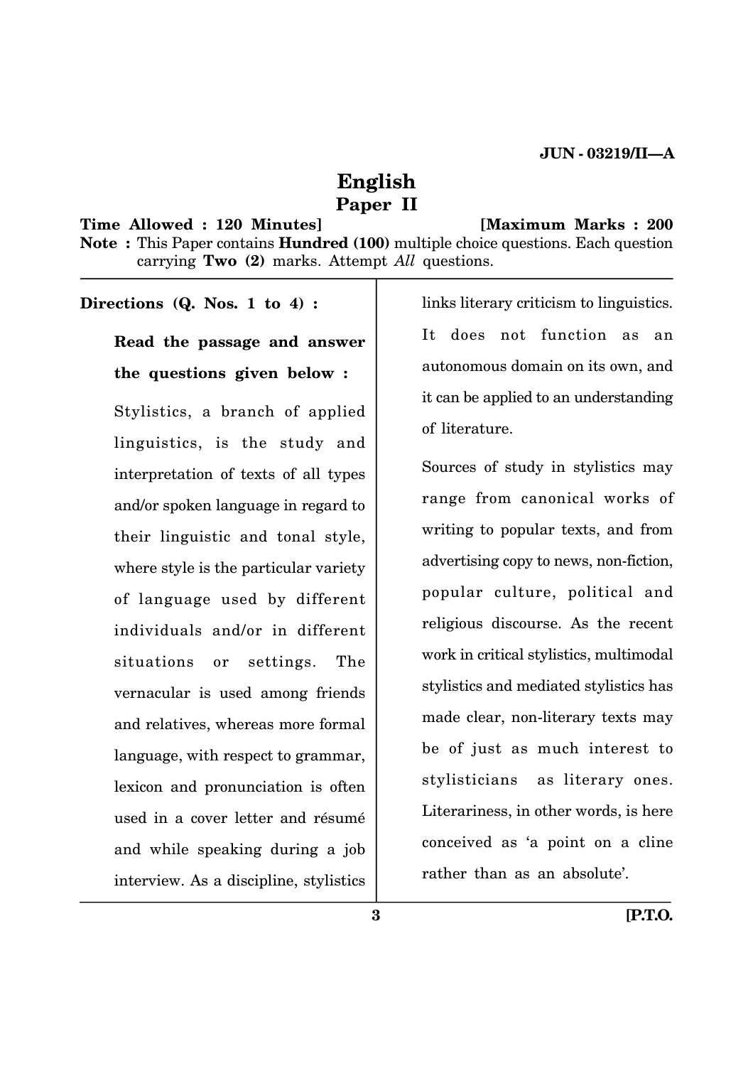## **English Paper II**

## **Time Allowed : 120 Minutes] [Maximum Marks : 200 Note :** This Paper contains **Hundred (100)** multiple choice questions. Each question carrying **Two (2)** marks. Attempt *All* questions.

#### **Directions (Q. Nos. 1 to 4) :**

**Read the passage and answer the questions given below :** Stylistics, a branch of applied linguistics, is the study and interpretation of texts of all types and/or spoken language in regard to

their linguistic and tonal style, where style is the particular variety of language used by different individuals and/or in different situations or settings. The vernacular is used among friends and relatives, whereas more formal language, with respect to grammar, lexicon and pronunciation is often used in a cover letter and résumé and while speaking during a job interview. As a discipline, stylistics

links literary criticism to linguistics. It does not function as an autonomous domain on its own, and it can be applied to an understanding of literature.

Sources of study in stylistics may range from canonical works of writing to popular texts, and from advertising copy to news, non-fiction, popular culture, political and religious discourse. As the recent work in critical stylistics, multimodal stylistics and mediated stylistics has made clear, non-literary texts may be of just as much interest to stylisticians as literary ones. Literariness, in other words, is here conceived as 'a point on a cline rather than as an absolute'.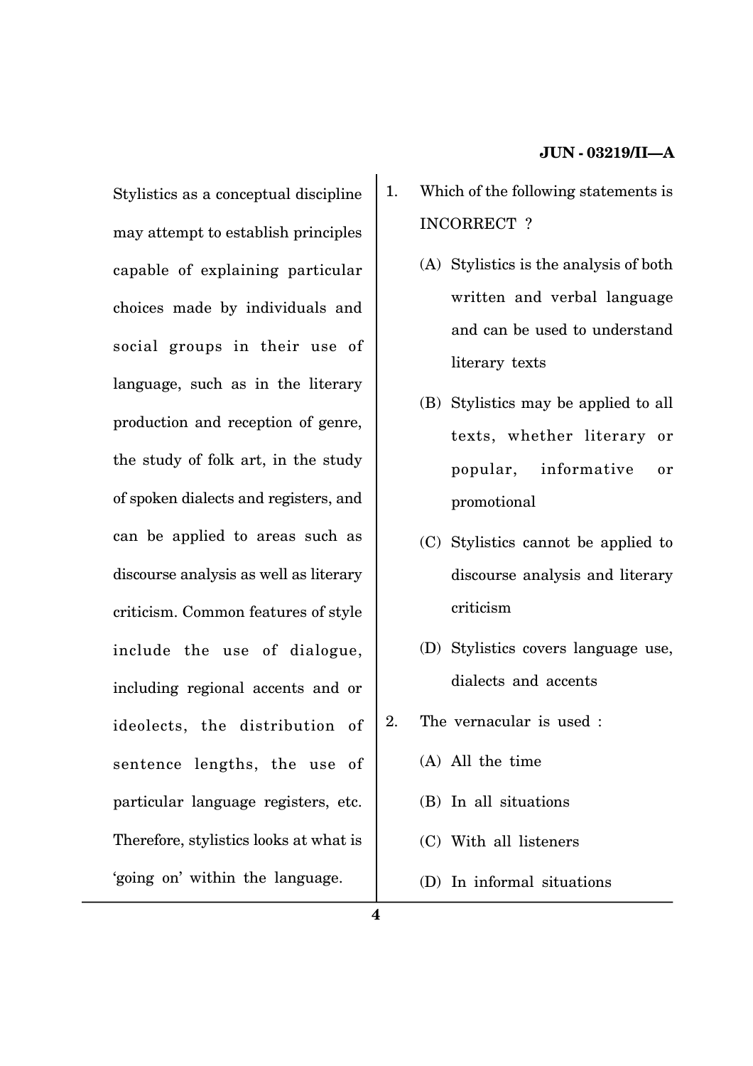Stylistics as a conceptual discipline may attempt to establish principles capable of explaining particular choices made by individuals and social groups in their use of language, such as in the literary production and reception of genre, the study of folk art, in the study of spoken dialects and registers, and can be applied to areas such as discourse analysis as well as literary criticism. Common features of style include the use of dialogue, including regional accents and or ideolects, the distribution of sentence lengths, the use of particular language registers, etc. Therefore, stylistics looks at what is 'going on' within the language.

- 1. Which of the following statements is INCORRECT ?
	- (A) Stylistics is the analysis of both written and verbal language and can be used to understand literary texts
	- (B) Stylistics may be applied to all texts, whether literary or popular, informative or promotional
	- (C) Stylistics cannot be applied to discourse analysis and literary criticism
	- (D) Stylistics covers language use, dialects and accents
- 2. The vernacular is used :
	- (A) All the time
	- (B) In all situations
	- (C) With all listeners
	- (D) In informal situations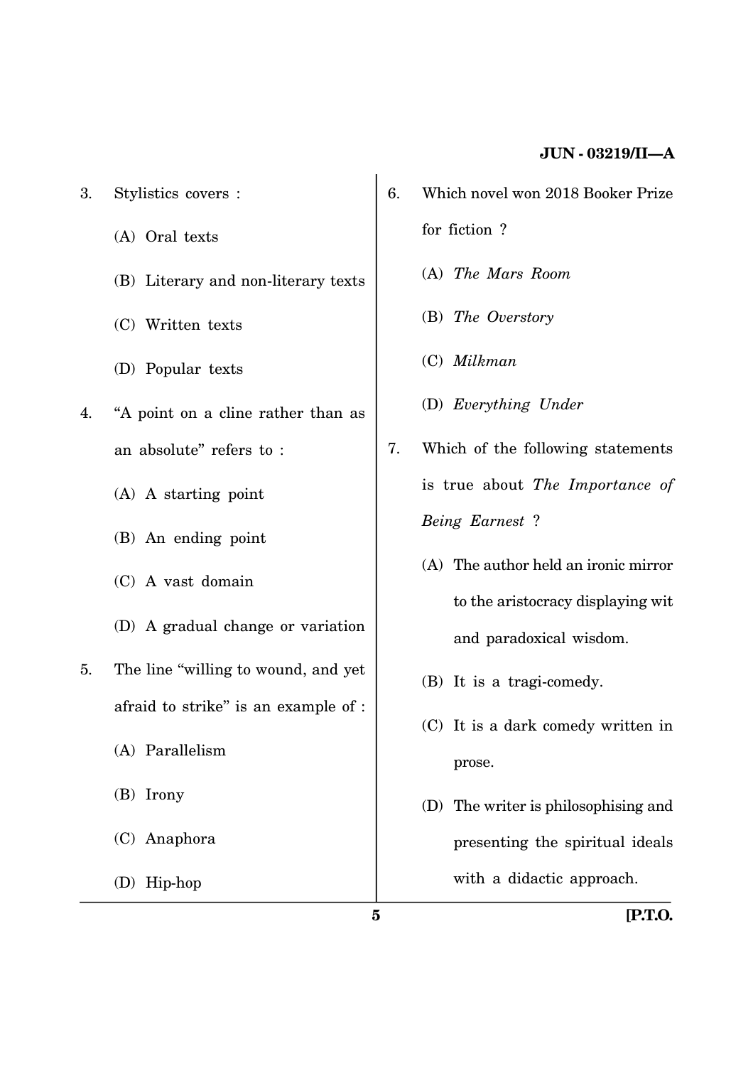- 3. Stylistics covers :
	- (A) Oral texts
	- (B) Literary and non-literary texts
	- (C) Written texts
	- (D) Popular texts
- 4. ''A point on a cline rather than as an absolute'' refers to :
	- (A) A starting point
	- (B) An ending point
	- (C) A vast domain
	- (D) A gradual change or variation
- 5. The line "willing to wound, and yet afraid to strike'' is an example of :
	- (A) Parallelism
	- (B) Irony
	- (C) Anaphora
	- (D) Hip-hop
- 6. Which novel won 2018 Booker Prize for fiction ?
	- (A) *The Mars Room*
	- (B) *The Overstory*
	- (C) *Milkman*
	- (D) *Everything Under*
- 7. Which of the following statements is true about *The Importance of Being Earnest* ?
	- (A) The author held an ironic mirror to the aristocracy displaying wit and paradoxical wisdom.
	- (B) It is a tragi-comedy.
	- (C) It is a dark comedy written in prose.
	- (D) The writer is philosophising and presenting the spiritual ideals with a didactic approach.

**5 [P.T.O.**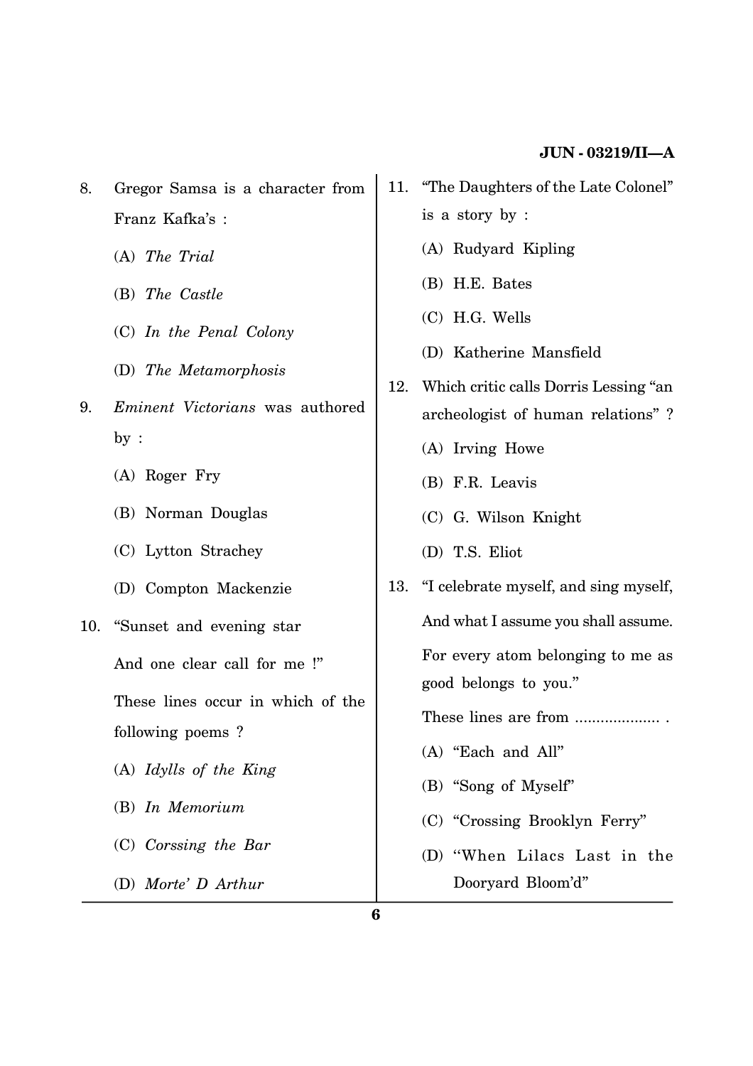- 8. Gregor Samsa is a character from Franz Kafka's :
	- (A) *The Trial*
	- (B) *The Castle*
	- (C) *In the Penal Colony*
	- (D) *The Metamorphosis*
- 9. *Eminent Victorians* was authored by :
	- (A) Roger Fry
	- (B) Norman Douglas
	- (C) Lytton Strachey
	- (D) Compton Mackenzie
- 10. ''Sunset and evening star

And one clear call for me !''

These lines occur in which of the following poems ?

- (A) *Idylls of the King*
- (B) *In Memorium*
- (C) *Corssing the Bar*
- (D) *Morte' D Arthur*
- 11. ''The Daughters of the Late Colonel'' is a story by :
	- (A) Rudyard Kipling
	- (B) H.E. Bates
	- (C) H.G. Wells
	- (D) Katherine Mansfield
- 12. Which critic calls Dorris Lessing ''an archeologist of human relations'' ?
	- (A) Irving Howe
	- (B) F.R. Leavis
	- (C) G. Wilson Knight
	- (D) T.S. Eliot
- 13. ''I celebrate myself, and sing myself, And what I assume you shall assume. For every atom belonging to me as good belongs to you.''
	- These lines are from .....................
	- (A) ''Each and All''
	- (B) ''Song of Myself''
	- (C) ''Crossing Brooklyn Ferry''
	- (D) ''When Lilacs Last in the Dooryard Bloom'd''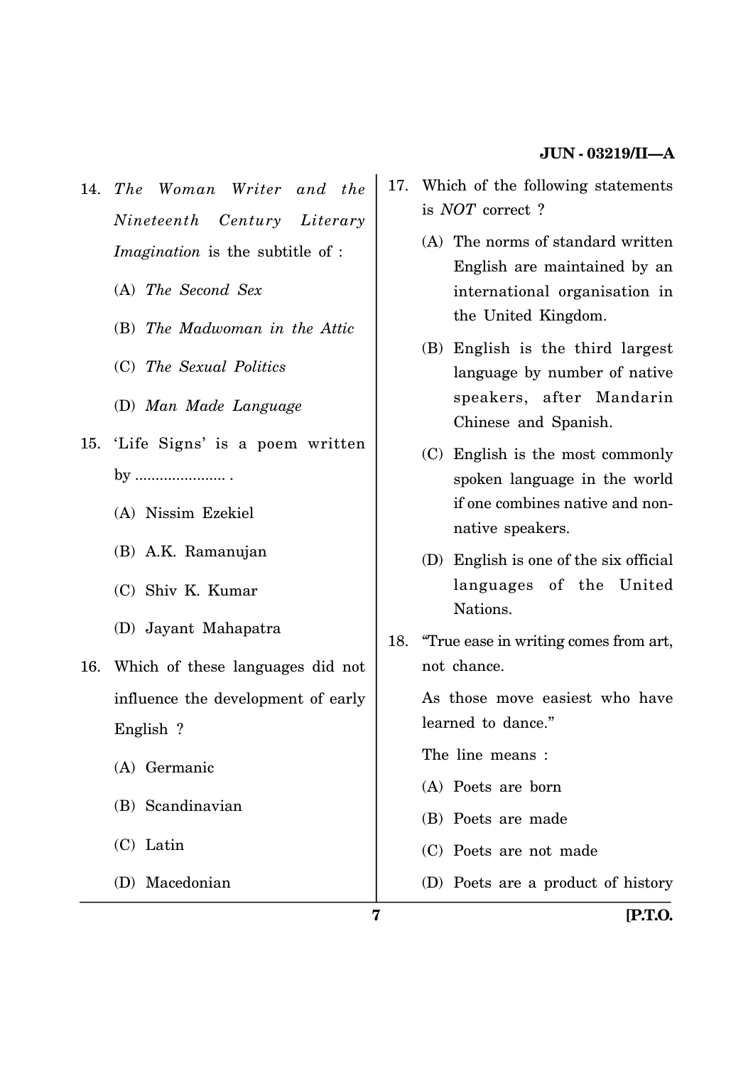- 14. *The Woman Writer and the Nineteenth Century Literary Imagination* is the subtitle of :
	- (A) *The Second Sex*
	- (B) *The Madwoman in the Attic*
	- (C) *The Sexual Politics*
	- (D) *Man Made Language*
- 15. 'Life Signs' is a poem written by ...................... .
	- (A) Nissim Ezekiel
	- (B) A.K. Ramanujan
	- (C) Shiv K. Kumar
	- (D) Jayant Mahapatra
- 16. Which of these languages did not influence the development of early English ?
	- (A) Germanic
	- (B) Scandinavian
	- (C) Latin
	- (D) Macedonian
- 17. Which of the following statements is *NOT* correct ?
	- (A) The norms of standard written English are maintained by an international organisation in the United Kingdom.
	- (B) English is the third largest language by number of native speakers, after Mandarin Chinese and Spanish.
	- (C) English is the most commonly spoken language in the world if one combines native and nonnative speakers.
	- (D) English is one of the six official languages of the United Nations.
- 18. ''True ease in writing comes from art, not chance.

As those move easiest who have learned to dance.''

The line means :

- (A) Poets are born
- (B) Poets are made
- (C) Poets are not made
- (D) Poets are a product of history

**7 [P.T.O.**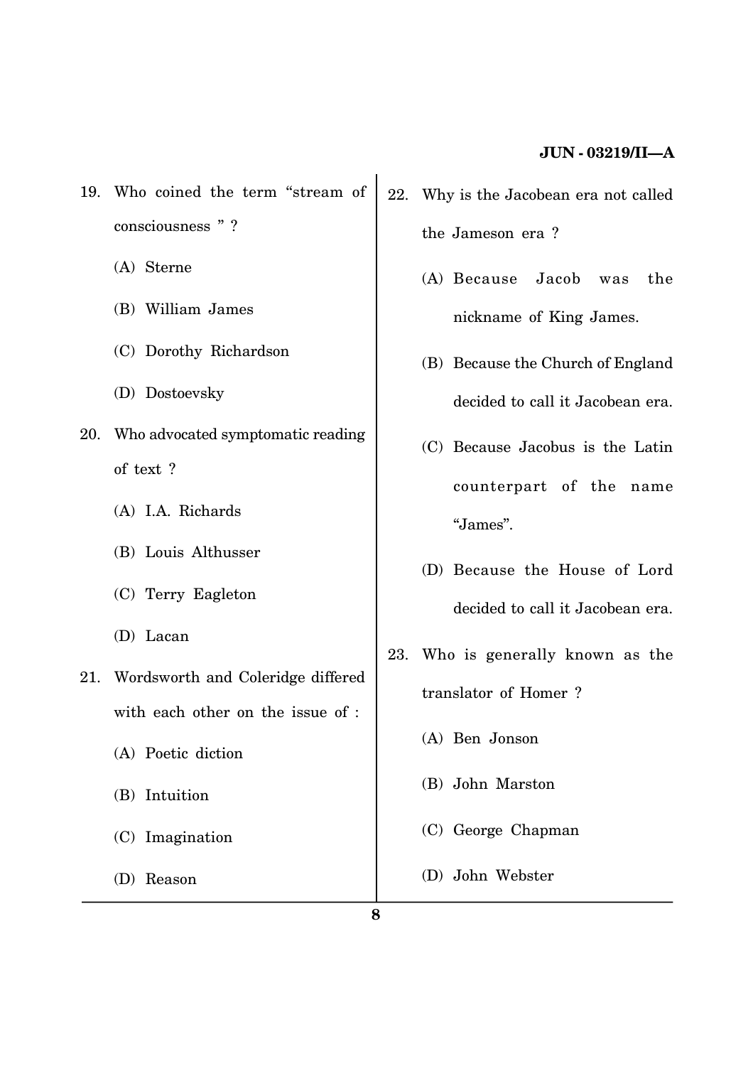- 19. Who coined the term ''stream of consciousness "?
	- (A) Sterne
	- (B) William James
	- (C) Dorothy Richardson
	- (D) Dostoevsky
- 20. Who advocated symptomatic reading of text ?
	- (A) I.A. Richards
	- (B) Louis Althusser
	- (C) Terry Eagleton
	- (D) Lacan
- 21. Wordsworth and Coleridge differed with each other on the issue of :
	- (A) Poetic diction
	- (B) Intuition
	- (C) Imagination
	- (D) Reason
- 22. Why is the Jacobean era not called the Jameson era ?
	- (A) Because Jacob was the nickname of King James.
	- (B) Because the Church of England decided to call it Jacobean era.
	- (C) Because Jacobus is the Latin counterpart of the name ''James''.
	- (D) Because the House of Lord decided to call it Jacobean era.
- 23. Who is generally known as the translator of Homer ?
	- (A) Ben Jonson
	- (B) John Marston
	- (C) George Chapman
	- (D) John Webster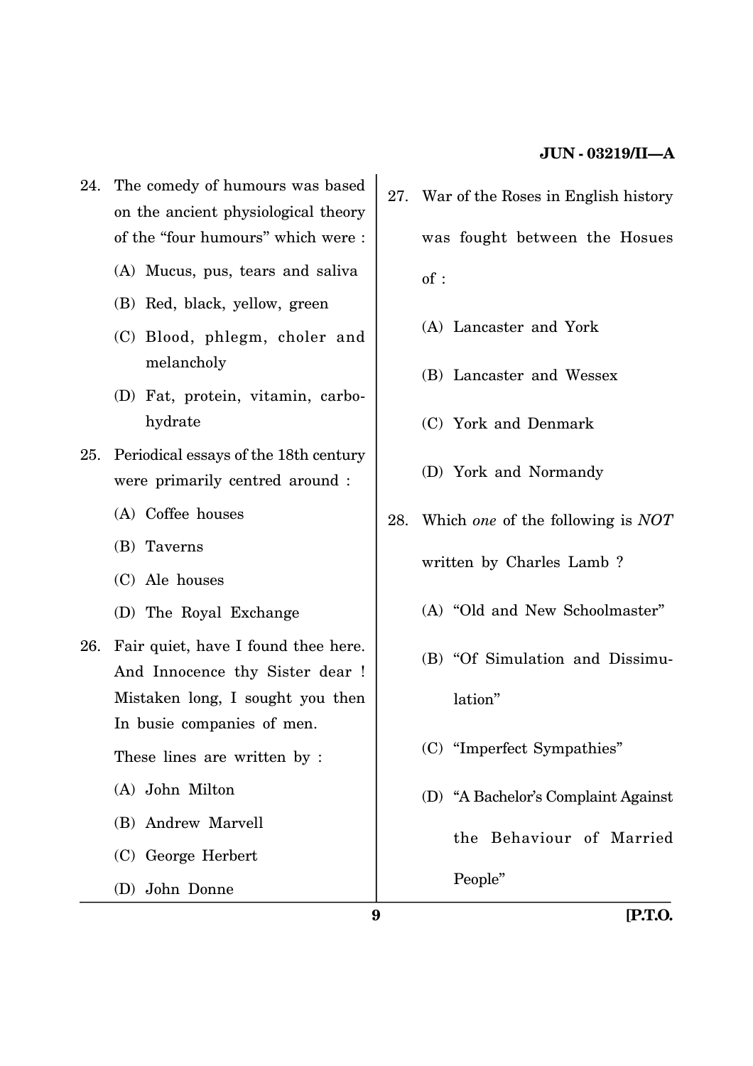- 24. The comedy of humours was based on the ancient physiological theory of the "four humours" which were :
	- (A) Mucus, pus, tears and saliva
	- (B) Red, black, yellow, green
	- (C) Blood, phlegm, choler and melancholy
	- (D) Fat, protein, vitamin, carbohydrate
- 25. Periodical essays of the 18th century were primarily centred around :
	- (A) Coffee houses
	- (B) Taverns
	- (C) Ale houses
	- (D) The Royal Exchange
- 26. Fair quiet, have I found thee here. And Innocence thy Sister dear ! Mistaken long, I sought you then In busie companies of men.

These lines are written by :

- (A) John Milton
- (B) Andrew Marvell
- (C) George Herbert
- (D) John Donne
- 27. War of the Roses in English history was fought between the Hosues of :
	- (A) Lancaster and York
	- (B) Lancaster and Wessex
	- (C) York and Denmark
	- (D) York and Normandy
- 28. Which *one* of the following is *NOT* written by Charles Lamb ?
	- (A) ''Old and New Schoolmaster''
	- (B) ''Of Simulation and Dissimulation''
	- (C) ''Imperfect Sympathies''
	- (D) ''A Bachelor's Complaint Against the Behaviour of Married People''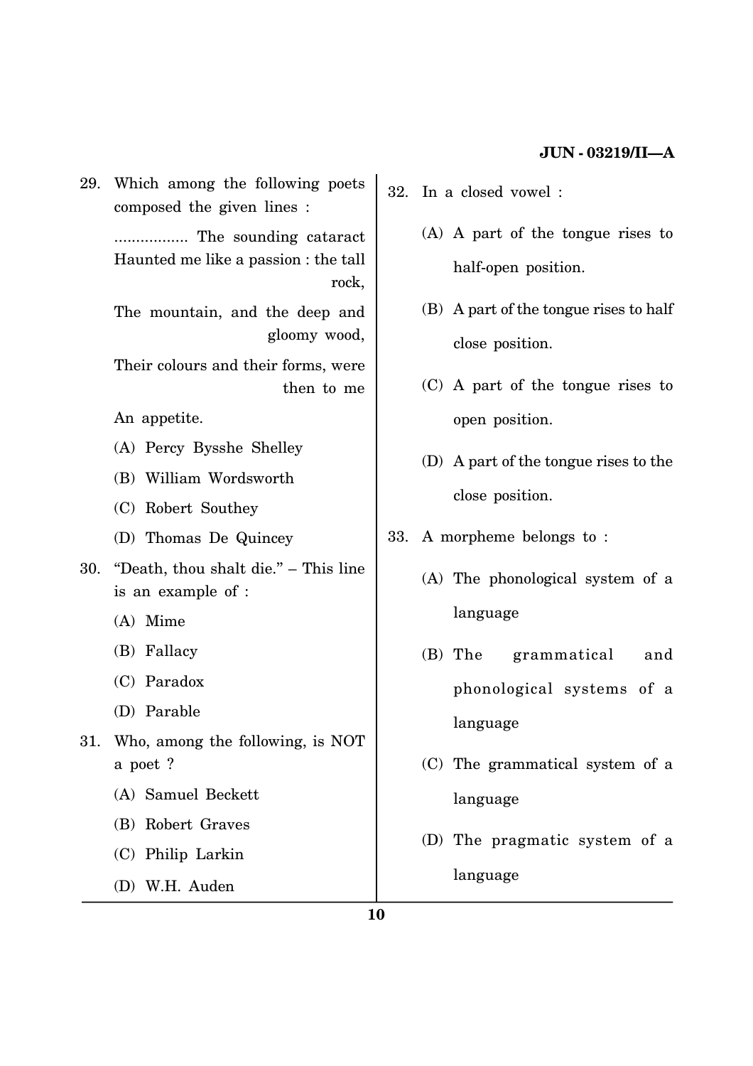29. Which among the following poets composed the given lines :

> ................. The sounding cataract Haunted me like a passion : the tall rock,

> The mountain, and the deep and gloomy wood,

> Their colours and their forms, were then to me

An appetite.

- (A) Percy Bysshe Shelley
- (B) William Wordsworth
- (C) Robert Southey
- (D) Thomas De Quincey
- 30. ''Death, thou shalt die.'' This line is an example of :
	- (A) Mime
	- (B) Fallacy
	- (C) Paradox
	- (D) Parable
- 31. Who, among the following, is NOT a poet ?
	- (A) Samuel Beckett
	- (B) Robert Graves
	- (C) Philip Larkin
	- (D) W.H. Auden
- 32. In a closed vowel :
	- (A) A part of the tongue rises to half-open position.
	- (B) A part of the tongue rises to half close position.
	- (C) A part of the tongue rises to open position.
	- (D) A part of the tongue rises to the close position.
- 33. A morpheme belongs to :
	- (A) The phonological system of a language
	- (B) The grammatical and phonological systems of a language
	- (C) The grammatical system of a language
	- (D) The pragmatic system of a language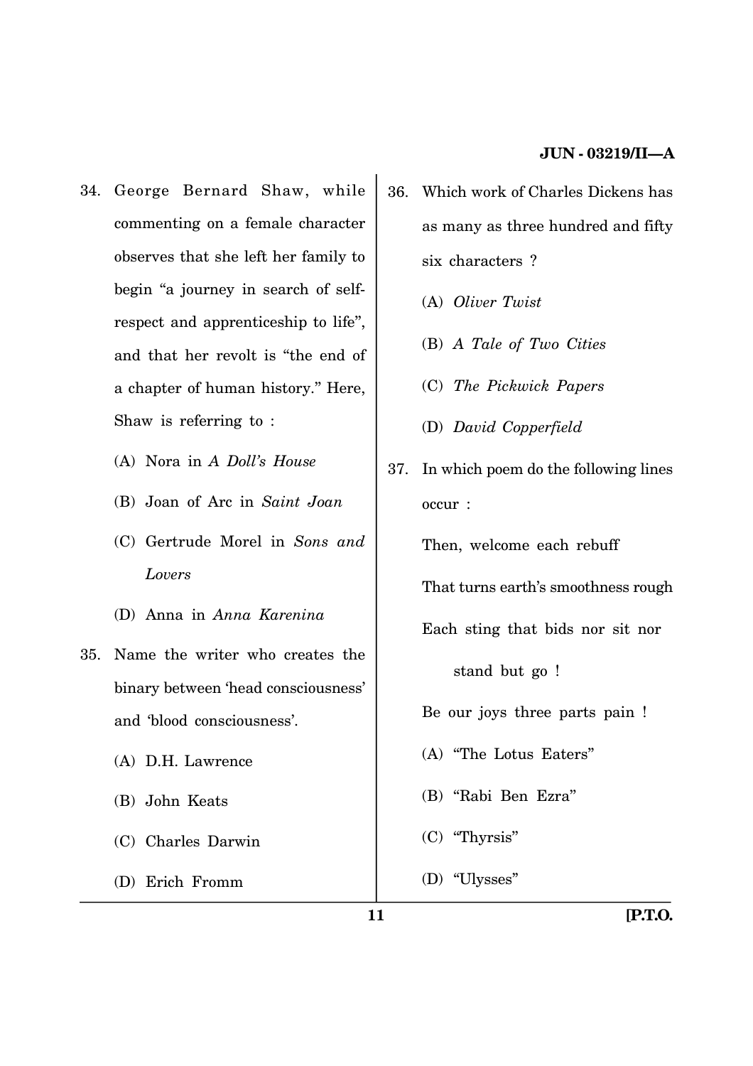- 34. George Bernard Shaw, while commenting on a female character observes that she left her family to begin "a journey in search of selfrespect and apprenticeship to life'', and that her revolt is ''the end of a chapter of human history.'' Here, Shaw is referring to :
	- (A) Nora in *A Doll's House*
	- (B) Joan of Arc in *Saint Joan*
	- (C) Gertrude Morel in *Sons and Lovers*
	- (D) Anna in *Anna Karenina*
- 35. Name the writer who creates the binary between 'head consciousness' and 'blood consciousness'.
	- (A) D.H. Lawrence
	- (B) John Keats
	- (C) Charles Darwin
	- (D) Erich Fromm
- 36. Which work of Charles Dickens has as many as three hundred and fifty six characters ?
	- (A) *Oliver Twist*
	- (B) *A Tale of Two Cities*
	- (C) *The Pickwick Papers*
	- (D) *David Copperfield*
- 37. In which poem do the following lines occur :

Then, welcome each rebuff

That turns earth's smoothness rough

Each sting that bids nor sit nor

stand but go !

Be our joys three parts pain !

- (A) ''The Lotus Eaters''
- (B) ''Rabi Ben Ezra''
- (C) ''Thyrsis''
- (D) ''Ulysses''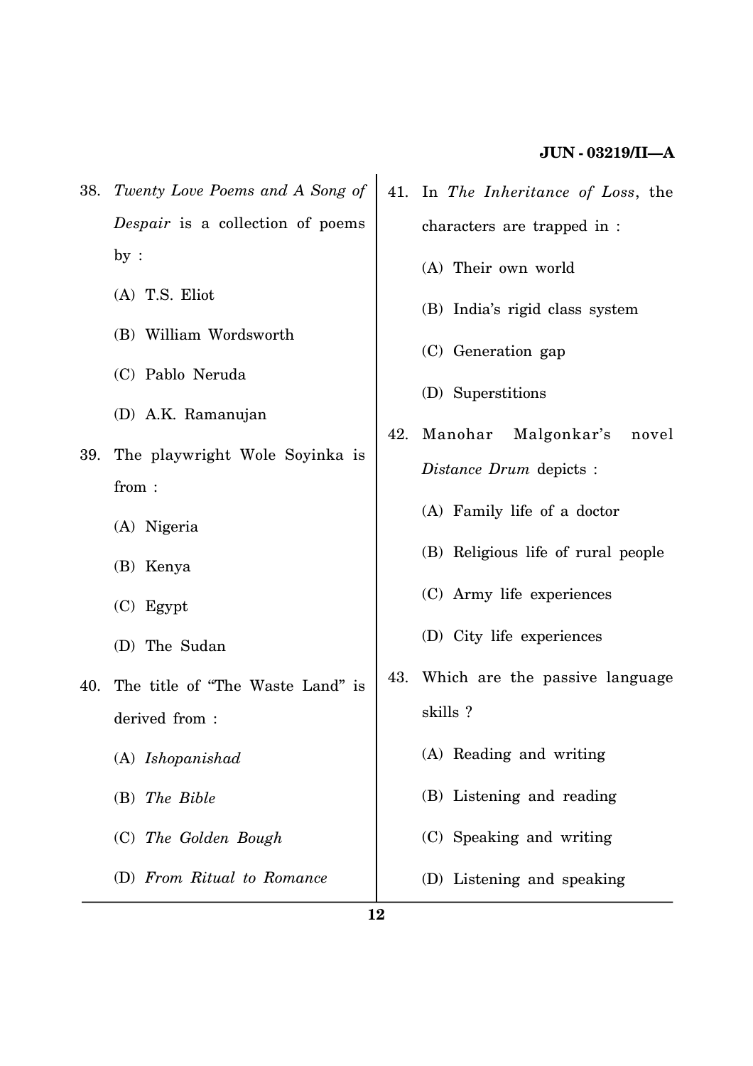- 38. *Twenty Love Poems and A Song of Despair* is a collection of poems by :
	- (A) T.S. Eliot
	- (B) William Wordsworth
	- (C) Pablo Neruda
	- (D) A.K. Ramanujan
- 39. The playwright Wole Soyinka is from :
	- (A) Nigeria
	- (B) Kenya
	- (C) Egypt
	- (D) The Sudan
- 40. The title of ''The Waste Land'' is derived from :
	- (A) *Ishopanishad*
	- (B) *The Bible*
	- (C) *The Golden Bough*
	- (D) *From Ritual to Romance*
- 41. In *The Inheritance of Loss*, the characters are trapped in :
	- (A) Their own world
	- (B) India's rigid class system
	- (C) Generation gap
	- (D) Superstitions
- 42. Manohar Malgonkar's novel *Distance Drum* depicts :
	- (A) Family life of a doctor
	- (B) Religious life of rural people
	- (C) Army life experiences
	- (D) City life experiences
- 43. Which are the passive language skills ?
	- (A) Reading and writing
	- (B) Listening and reading
	- (C) Speaking and writing
	- (D) Listening and speaking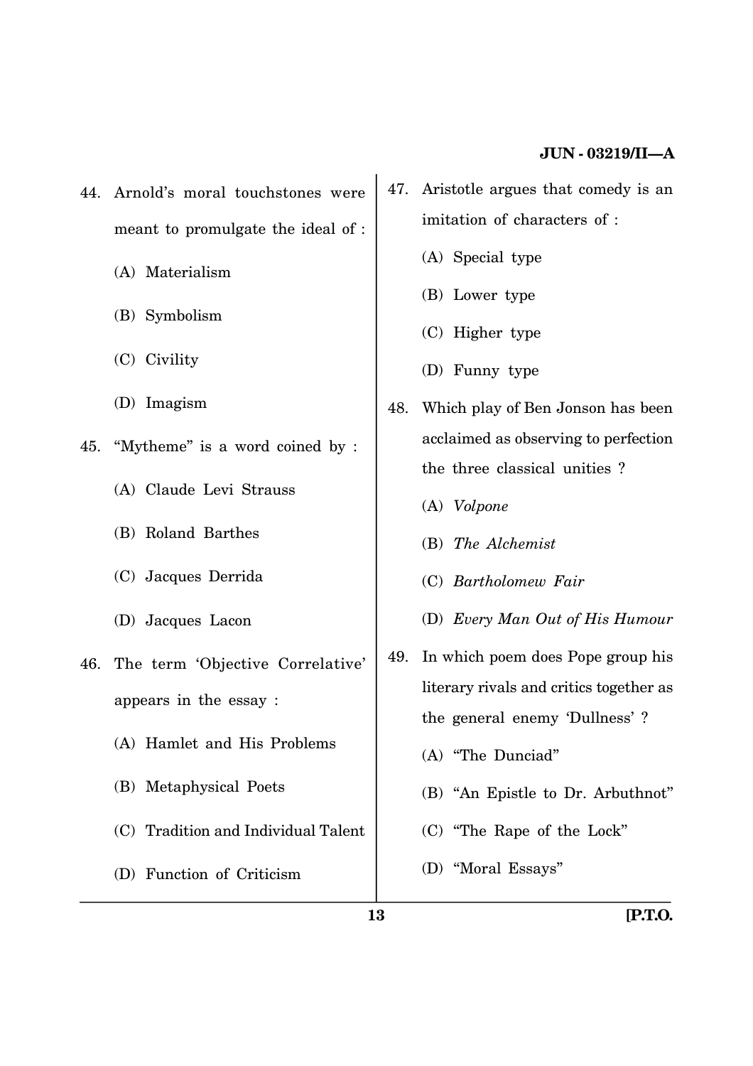- 44. Arnold's moral touchstones were meant to promulgate the ideal of :
	- (A) Materialism
	- (B) Symbolism
	- (C) Civility
	- (D) Imagism
- 45. ''Mytheme'' is a word coined by :
	- (A) Claude Levi Strauss
	- (B) Roland Barthes
	- (C) Jacques Derrida
	- (D) Jacques Lacon
- 46. The term 'Objective Correlative' appears in the essay :
	- (A) Hamlet and His Problems
	- (B) Metaphysical Poets
	- (C) Tradition and Individual Talent
	- (D) Function of Criticism
- 47. Aristotle argues that comedy is an imitation of characters of :
	- (A) Special type
	- (B) Lower type
	- (C) Higher type
	- (D) Funny type
- 48. Which play of Ben Jonson has been acclaimed as observing to perfection the three classical unities ?
	- (A) *Volpone*
	- (B) *The Alchemist*
	- (C) *Bartholomew Fair*
	- (D) *Every Man Out of His Humour*
- 49. In which poem does Pope group his literary rivals and critics together as the general enemy 'Dullness' ?
	- (A) ''The Dunciad''
	- (B) ''An Epistle to Dr. Arbuthnot''
	- (C) ''The Rape of the Lock''
	- (D) ''Moral Essays''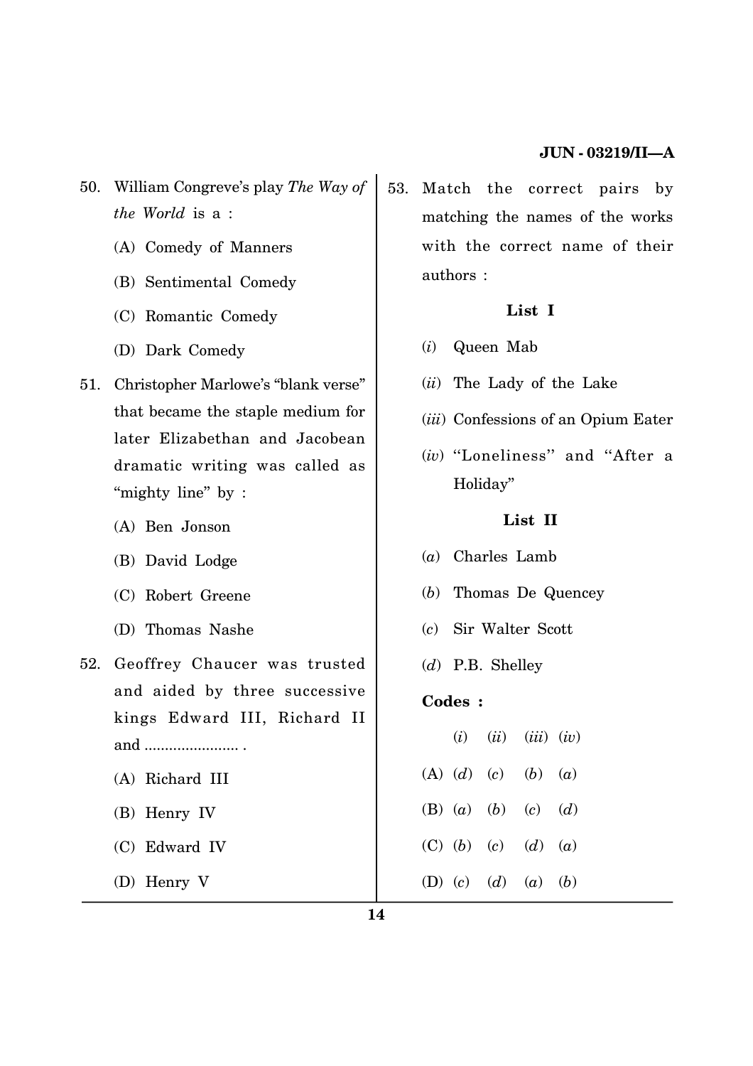- 50. William Congreve's play *The Way of the World* is a :
	- (A) Comedy of Manners
	- (B) Sentimental Comedy
	- (C) Romantic Comedy
	- (D) Dark Comedy
- 51. Christopher Marlowe's ''blank verse'' that became the staple medium for later Elizabethan and Jacobean dramatic writing was called as "mighty line" by :
	- (A) Ben Jonson
	- (B) David Lodge
	- (C) Robert Greene
	- (D) Thomas Nashe
- 52. Geoffrey Chaucer was trusted and aided by three successive kings Edward III, Richard II and ....................... .
	- (A) Richard III
	- (B) Henry IV
	- (C) Edward IV
	- (D) Henry V

53. Match the correct pairs by matching the names of the works with the correct name of their authors :

## **List I**

- (*i*) Queen Mab
- (*ii*) The Lady of the Lake
- (*iii*) Confessions of an Opium Eater
- (*iv*) ''Loneliness'' and ''After a Holiday''

## **List II**

- (*a*) Charles Lamb
- (*b*) Thomas De Quencey
- (*c*) Sir Walter Scott
- (*d*) P.B. Shelley

## **Codes :**

|  | $(i)$ $(ii)$ $(iii)$ $(iv)$ |  |
|--|-----------------------------|--|
|  | (A) (d) (c) (b) (a)         |  |
|  | (B) (a) (b) (c) (d)         |  |
|  | (C) (b) (c) (d) (a)         |  |
|  | (D) (c) (d) (a) (b)         |  |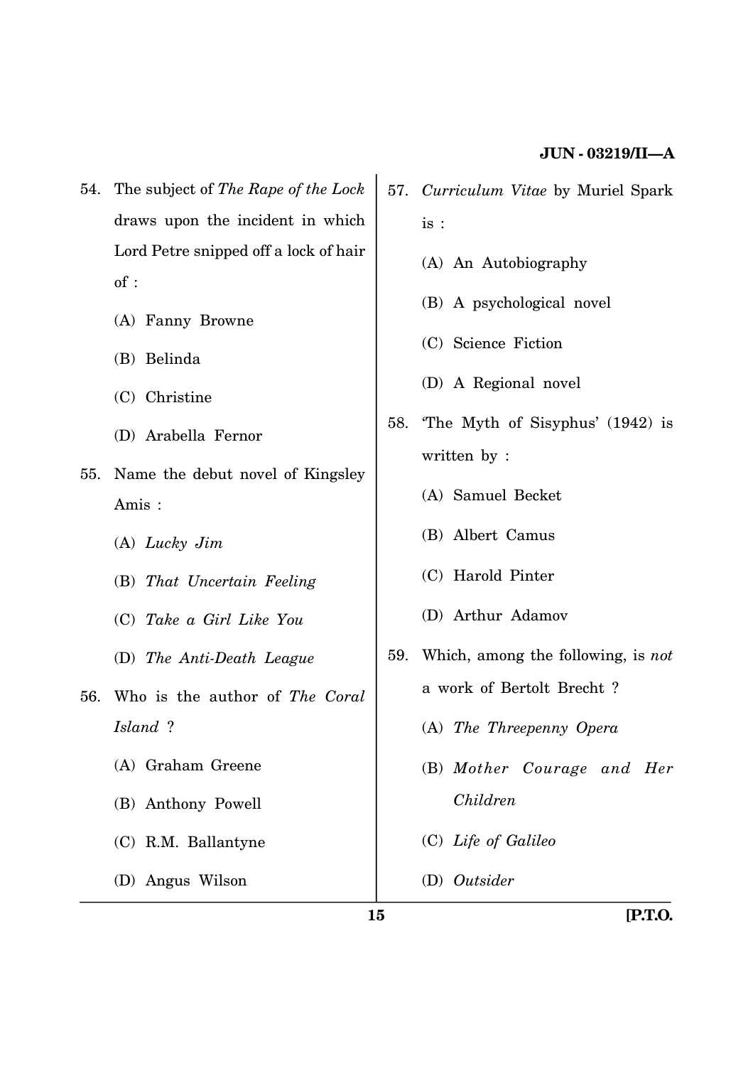- 54. The subject of *The Rape of the Lock* draws upon the incident in which Lord Petre snipped off a lock of hair of :
	- (A) Fanny Browne
	- (B) Belinda
	- (C) Christine
	- (D) Arabella Fernor
- 55. Name the debut novel of Kingsley Amis :
	- (A) *Lucky Jim*
	- (B) *That Uncertain Feeling*
	- (C) *Take a Girl Like You*
	- (D) *The Anti-Death League*
- 56. Who is the author of *The Coral Island* ?
	- (A) Graham Greene
	- (B) Anthony Powell
	- (C) R.M. Ballantyne

(D) Angus Wilson

- 57. *Curriculum Vitae* by Muriel Spark is :
	- (A) An Autobiography
	- (B) A psychological novel
	- (C) Science Fiction
	- (D) A Regional novel
- 58. 'The Myth of Sisyphus' (1942) is written by :
	- (A) Samuel Becket
	- (B) Albert Camus
	- (C) Harold Pinter
	- (D) Arthur Adamov
- 59. Which, among the following, is *not* a work of Bertolt Brecht ?
	- (A) *The Threepenny Opera*
	- (B) *Mother Courage and Her Children*
	- (C) *Life of Galileo*
	- (D) *Outsider*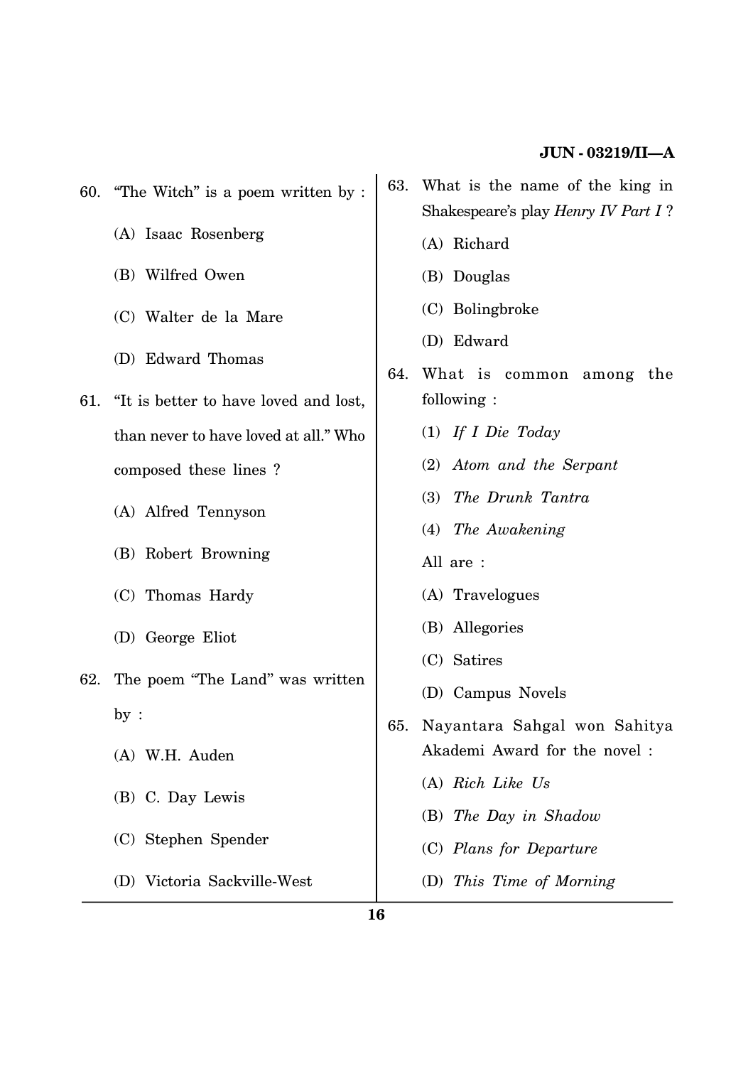| 60. | "The Witch" is a poem written by :                                                                         | 63. | What is the name of the king in<br>Shakespeare's play Henry IV Part I? |  |  |  |
|-----|------------------------------------------------------------------------------------------------------------|-----|------------------------------------------------------------------------|--|--|--|
|     | (A) Isaac Rosenberg                                                                                        |     | (A) Richard                                                            |  |  |  |
|     | (B) Wilfred Owen                                                                                           |     | (B) Douglas                                                            |  |  |  |
|     | (C) Walter de la Mare                                                                                      |     | (C) Bolingbroke                                                        |  |  |  |
| 61. | (D) Edward Thomas                                                                                          | 64. | (D) Edward<br>What is common among the                                 |  |  |  |
|     | "It is better to have loved and lost,                                                                      |     | following:                                                             |  |  |  |
|     | than never to have loved at all." Who                                                                      |     | $(1)$ If I Die Today                                                   |  |  |  |
|     | composed these lines?                                                                                      |     | (2) Atom and the Serpant                                               |  |  |  |
|     | (A) Alfred Tennyson                                                                                        |     | The Drunk Tantra<br><b>(3)</b>                                         |  |  |  |
|     | (B) Robert Browning                                                                                        |     | (4) The Awakening                                                      |  |  |  |
|     |                                                                                                            |     | All are :                                                              |  |  |  |
|     | (C) Thomas Hardy                                                                                           |     | (A) Travelogues                                                        |  |  |  |
| 62. | (D) George Eliot                                                                                           |     | (B) Allegories                                                         |  |  |  |
|     | The poem "The Land" was written<br>by:<br>65.<br>(A) W.H. Auden<br>(B) C. Day Lewis<br>(C) Stephen Spender |     | (C) Satires                                                            |  |  |  |
|     |                                                                                                            |     | (D) Campus Novels                                                      |  |  |  |
|     |                                                                                                            |     | Nayantara Sahgal won Sahitya                                           |  |  |  |
|     |                                                                                                            |     | Akademi Award for the novel:                                           |  |  |  |
|     |                                                                                                            |     | (A) Rich Like Us                                                       |  |  |  |
|     |                                                                                                            |     | $(B)$ The Day in Shadow                                                |  |  |  |
|     |                                                                                                            |     | (C) Plans for Departure                                                |  |  |  |
|     | (D) Victoria Sackville-West                                                                                |     | (D) This Time of Morning                                               |  |  |  |
|     |                                                                                                            |     |                                                                        |  |  |  |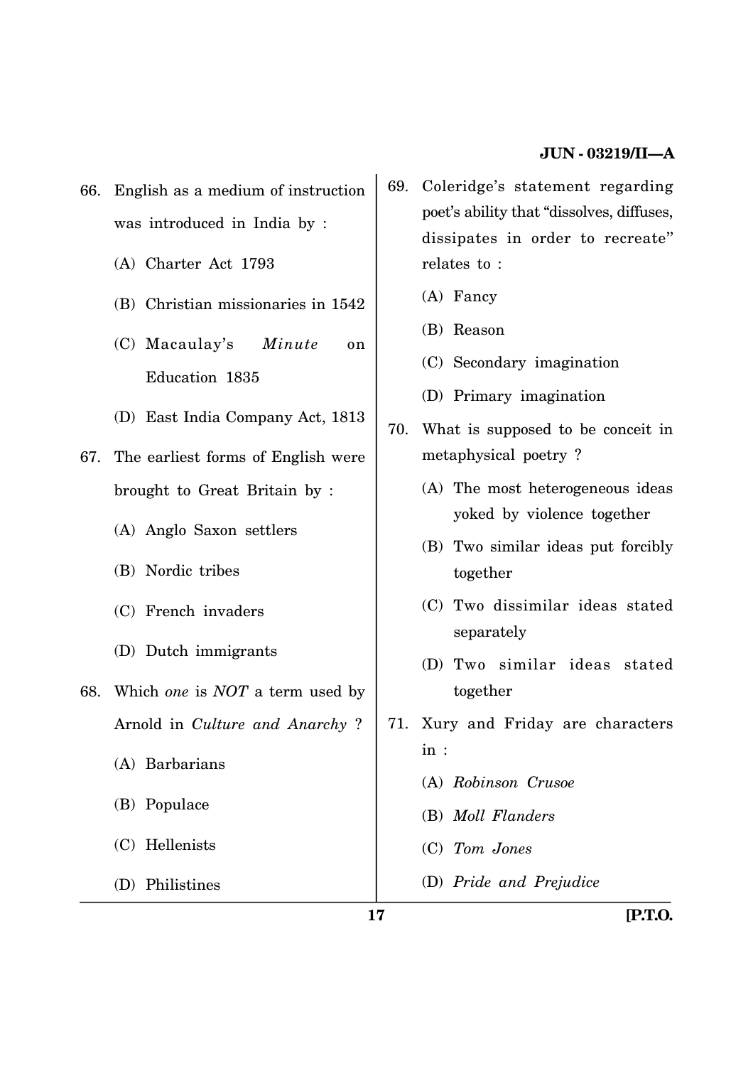- 66. English as a medium of instruction was introduced in India by :
	- (A) Charter Act 1793
	- (B) Christian missionaries in 1542
	- (C) Macaulay's *Minute* on Education 1835
	- (D) East India Company Act, 1813
- 67. The earliest forms of English were brought to Great Britain by :
	- (A) Anglo Saxon settlers
	- (B) Nordic tribes
	- (C) French invaders
	- (D) Dutch immigrants
- 68. Which *one* is *NOT* a term used by Arnold in *Culture and Anarchy* ?
	- (A) Barbarians
	- (B) Populace
	- (C) Hellenists
	- (D) Philistines
- 69. Coleridge's statement regarding poet's ability that ''dissolves, diffuses, dissipates in order to recreate'' relates to :
	- (A) Fancy
	- (B) Reason
	- (C) Secondary imagination
	- (D) Primary imagination
- 70. What is supposed to be conceit in metaphysical poetry ?
	- (A) The most heterogeneous ideas yoked by violence together
	- (B) Two similar ideas put forcibly together
	- (C) Two dissimilar ideas stated separately
	- (D) Two similar ideas stated together
- 71. Xury and Friday are characters in :
	- (A) *Robinson Crusoe*
	- (B) *Moll Flanders*
	- (C) *Tom Jones*
	- (D) *Pride and Prejudice*

**17 [P.T.O.**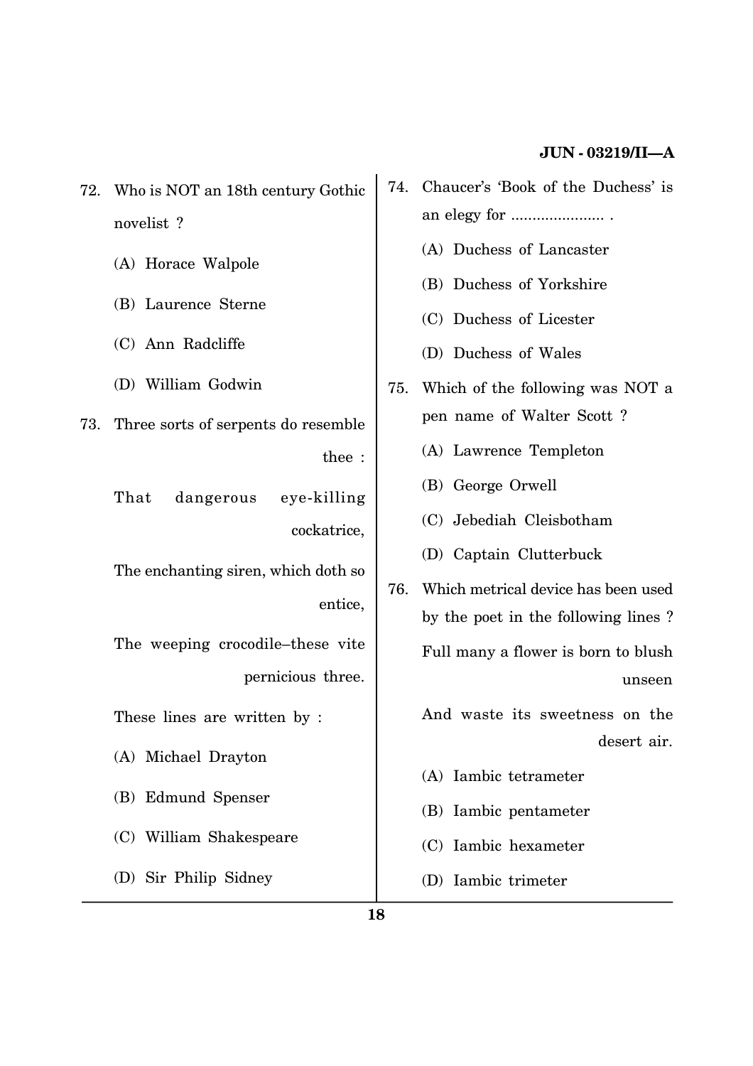- 72. Who is NOT an 18th century Gothic novelist ?
	- (A) Horace Walpole
	- (B) Laurence Sterne
	- (C) Ann Radcliffe
	- (D) William Godwin
- 73. Three sorts of serpents do resemble thee :
	- That dangerous eye-killing cockatrice,
	- The enchanting siren, which doth so entice,
	- The weeping crocodile–these vite pernicious three.
	- These lines are written by :
	- (A) Michael Drayton
	- (B) Edmund Spenser
	- (C) William Shakespeare
	- (D) Sir Philip Sidney
- 74. Chaucer's 'Book of the Duchess' is an elegy for ...................... .
	- (A) Duchess of Lancaster
	- (B) Duchess of Yorkshire
	- (C) Duchess of Licester
	- (D) Duchess of Wales
- 75. Which of the following was NOT a pen name of Walter Scott ?
	- (A) Lawrence Templeton
	- (B) George Orwell
	- (C) Jebediah Cleisbotham
	- (D) Captain Clutterbuck
- 76. Which metrical device has been used by the poet in the following lines ? Full many a flower is born to blush unseen

And waste its sweetness on the desert air.

- (A) Iambic tetrameter
- (B) Iambic pentameter
- (C) Iambic hexameter
- (D) Iambic trimeter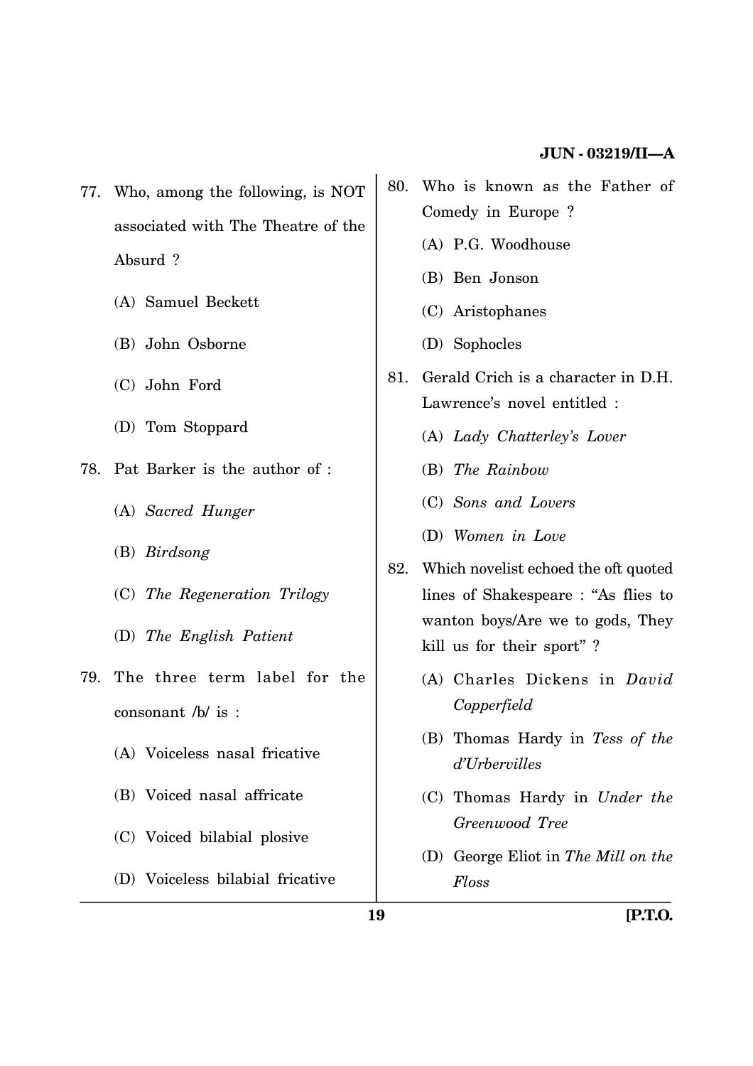- 77. Who, among the following, is NOT associated with The Theatre of the Absurd ?
	- (A) Samuel Beckett
	- (B) John Osborne
	- (C) John Ford
	- (D) Tom Stoppard
- 78. Pat Barker is the author of :
	- (A) *Sacred Hunger*
	- (B) *Birdsong*
	- (C) *The Regeneration Trilogy*
	- (D) *The English Patient*
- 79. The three term label for the consonant /b/ is :
	- (A) Voiceless nasal fricative
	- (B) Voiced nasal affricate
	- (C) Voiced bilabial plosive
	- (D) Voiceless bilabial fricative
- 80. Who is known as the Father of Comedy in Europe ?
	- (A) P.G. Woodhouse
	- (B) Ben Jonson
	- (C) Aristophanes
	- (D) Sophocles
- 81. Gerald Crich is a character in D.H. Lawrence's novel entitled :
	- (A) *Lady Chatterley's Lover*
	- (B) *The Rainbow*
	- (C) *Sons and Lovers*
	- (D) *Women in Love*
- 82. Which novelist echoed the oft quoted lines of Shakespeare : ''As flies to wanton boys/Are we to gods, They kill us for their sport'' ?
	- (A) Charles Dickens in *David Copperfield*
	- (B) Thomas Hardy in *Tess of the d'Urbervilles*
	- (C) Thomas Hardy in *Under the Greenwood Tree*
	- (D) George Eliot in *The Mill on the Floss*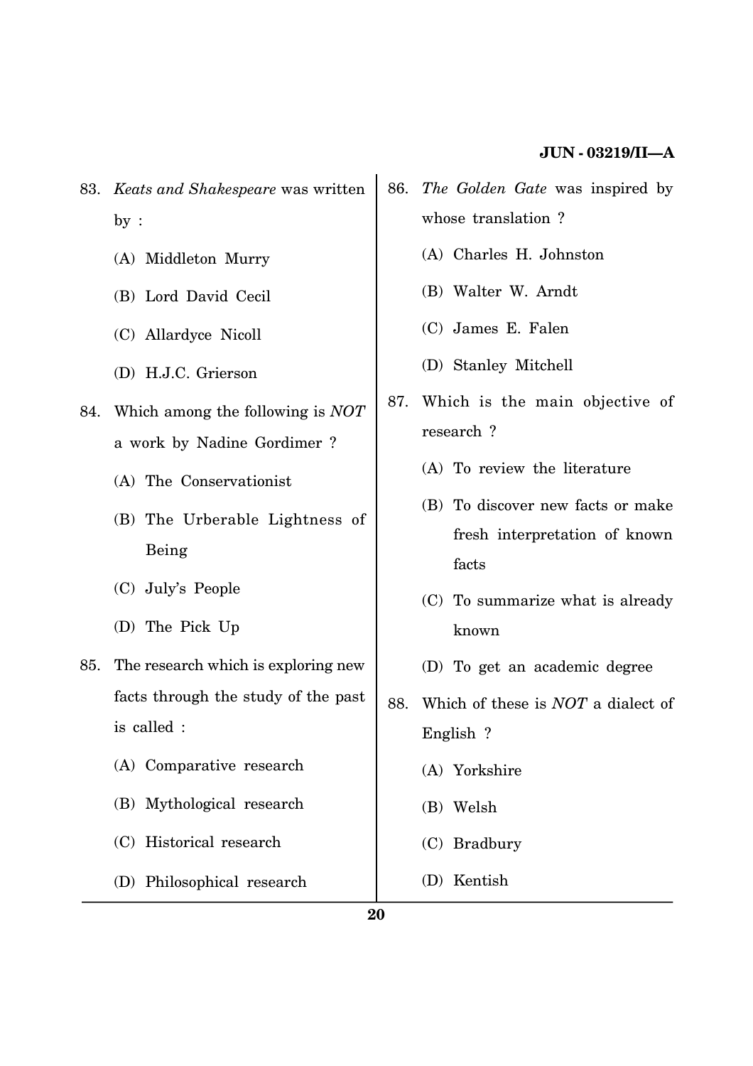- 83. *Keats and Shakespeare* was written by :
	- (A) Middleton Murry
	- (B) Lord David Cecil
	- (C) Allardyce Nicoll
	- (D) H.J.C. Grierson
- 84. Which among the following is *NOT* a work by Nadine Gordimer ?
	- (A) The Conservationist
	- (B) The Urberable Lightness of Being
	- (C) July's People
	- (D) The Pick Up
- 85. The research which is exploring new facts through the study of the past is called :
	- (A) Comparative research
	- (B) Mythological research
	- (C) Historical research
	- (D) Philosophical research
- 86. *The Golden Gate* was inspired by whose translation ?
	- (A) Charles H. Johnston
	- (B) Walter W. Arndt
	- (C) James E. Falen
	- (D) Stanley Mitchell
- 87. Which is the main objective of research ?
	- (A) To review the literature
	- (B) To discover new facts or make fresh interpretation of known facts
	- (C) To summarize what is already known
	- (D) To get an academic degree
- 88. Which of these is *NOT* a dialect of English ?
	- (A) Yorkshire
	- (B) Welsh
	- (C) Bradbury
	- (D) Kentish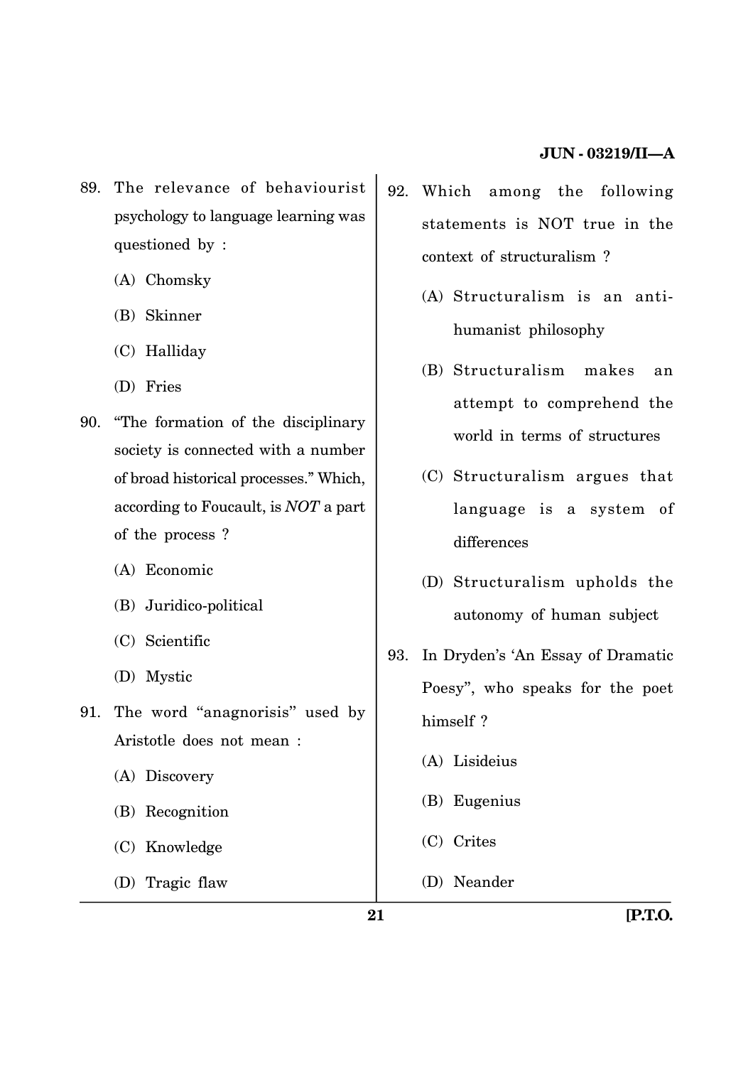- 89. The relevance of behaviourist psychology to language learning was questioned by :
	- (A) Chomsky
	- (B) Skinner
	- (C) Halliday
	- (D) Fries
- 90. ''The formation of the disciplinary society is connected with a number of broad historical processes.'' Which, according to Foucault, is *NOT* a part of the process ?
	- (A) Economic
	- (B) Juridico-political
	- (C) Scientific
	- (D) Mystic
- 91. The word ''anagnorisis'' used by Aristotle does not mean :
	- (A) Discovery
	- (B) Recognition
	- (C) Knowledge
	- (D) Tragic flaw
- 92. Which among the following statements is NOT true in the context of structuralism ?
	- (A) Structuralism is an antihumanist philosophy
	- (B) Structuralism makes an attempt to comprehend the world in terms of structures
	- (C) Structuralism argues that language is a system of differences
	- (D) Structuralism upholds the autonomy of human subject
- 93. In Dryden's 'An Essay of Dramatic Poesy'', who speaks for the poet himself ?
	- (A) Lisideius
	- (B) Eugenius
	- (C) Crites
	- (D) Neander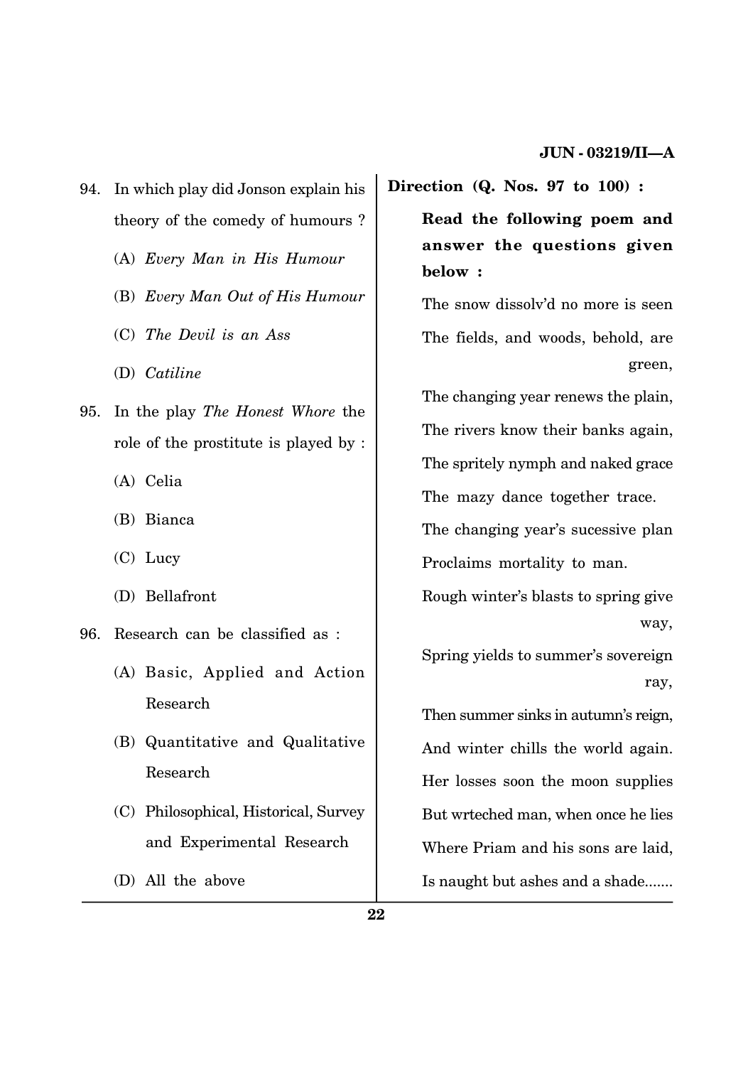- 94. In which play did Jonson explain his theory of the comedy of humours ?
	- (A) *Every Man in His Humour*
	- (B) *Every Man Out of His Humour*
	- (C) *The Devil is an Ass*
	- (D) *Catiline*
- 95. In the play *The Honest Whore* the role of the prostitute is played by :
	- (A) Celia
	- (B) Bianca
	- (C) Lucy
	- (D) Bellafront
- 96. Research can be classified as :
	- (A) Basic, Applied and Action Research
	- (B) Quantitative and Qualitative Research
	- (C) Philosophical, Historical, Survey and Experimental Research
	- (D) All the above

**Direction (Q. Nos. 97 to 100) :**

**Read the following poem and answer the questions given below :**

The snow dissolv'd no more is seen The fields, and woods, behold, are green,

The changing year renews the plain, The rivers know their banks again, The spritely nymph and naked grace The mazy dance together trace.

The changing year's sucessive plan Proclaims mortality to man.

Rough winter's blasts to spring give way,

Spring yields to summer's sovereign ray,

Then summer sinks in autumn's reign, And winter chills the world again. Her losses soon the moon supplies But wrteched man, when once he lies Where Priam and his sons are laid, Is naught but ashes and a shade.......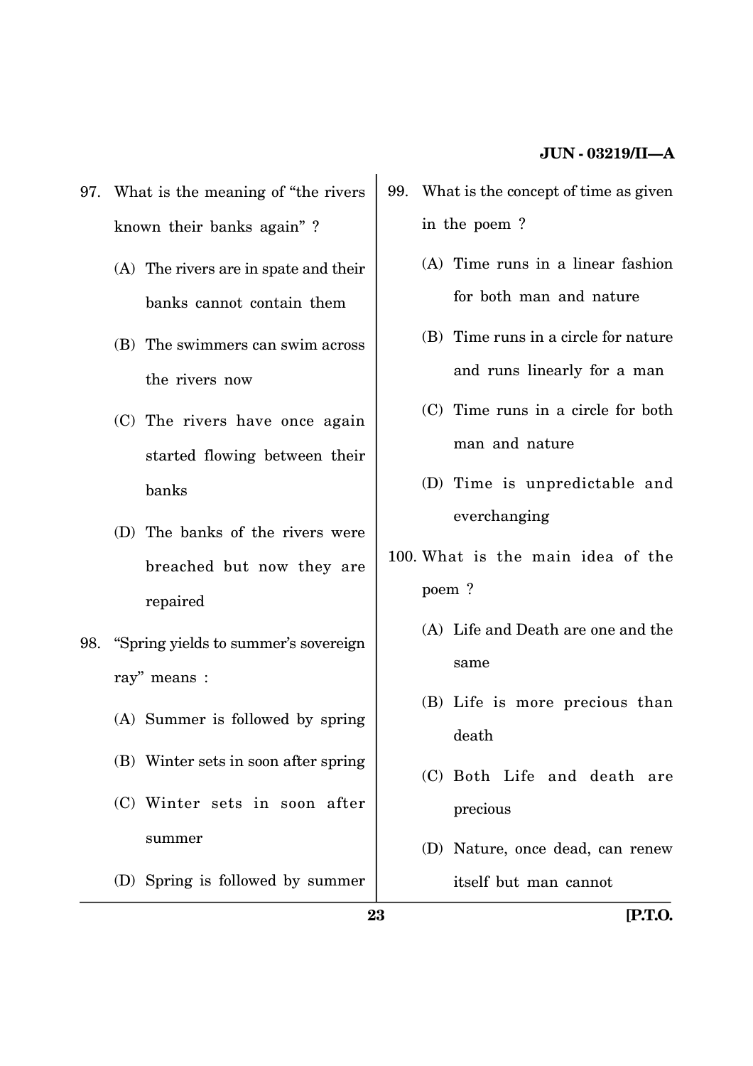- 97. What is the meaning of ''the rivers known their banks again'' ?
	- (A) The rivers are in spate and their banks cannot contain them
	- (B) The swimmers can swim across the rivers now
	- (C) The rivers have once again started flowing between their banks
	- (D) The banks of the rivers were breached but now they are repaired
- 98. ''Spring yields to summer's sovereign ray'' means :
	- (A) Summer is followed by spring
	- (B) Winter sets in soon after spring
	- (C) Winter sets in soon after summer
	- (D) Spring is followed by summer
- 99. What is the concept of time as given in the poem ?
	- (A) Time runs in a linear fashion for both man and nature
	- (B) Time runs in a circle for nature and runs linearly for a man
	- (C) Time runs in a circle for both man and nature
	- (D) Time is unpredictable and everchanging
- 100. What is the main idea of the poem ?
	- (A) Life and Death are one and the same
	- (B) Life is more precious than death
	- (C) Both Life and death are precious
	- (D) Nature, once dead, can renew itself but man cannot